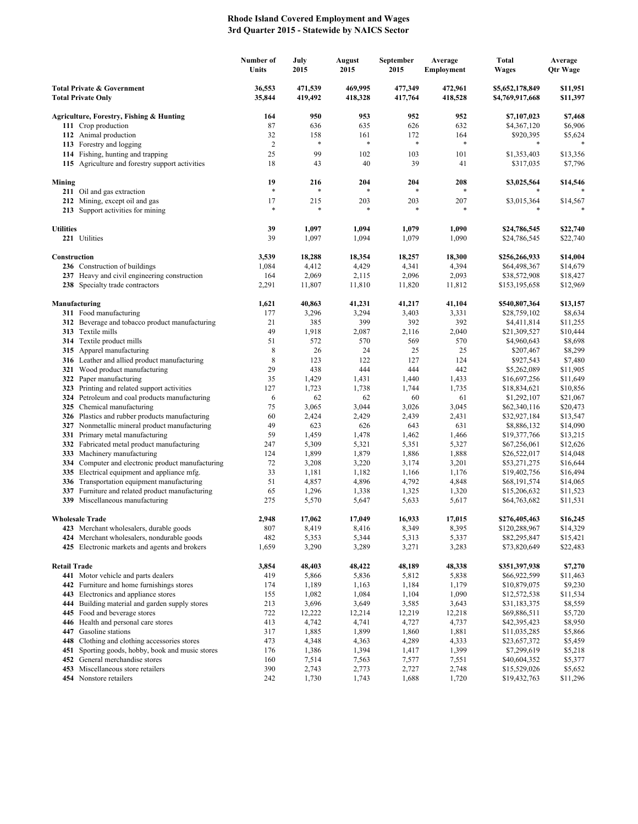## **Rhode Island Covered Employment and Wages 3rd Quarter 2015 - Statewide by NAICS Sector**

|                                                                    |                                                                                      | Number of<br>Units | July<br>2015       | August<br>2015     | September<br>2015  | Average<br><b>Employment</b> | Total<br><b>Wages</b>              | Average<br><b>Qtr Wage</b> |
|--------------------------------------------------------------------|--------------------------------------------------------------------------------------|--------------------|--------------------|--------------------|--------------------|------------------------------|------------------------------------|----------------------------|
| <b>Total Private &amp; Government</b><br><b>Total Private Only</b> |                                                                                      | 36,553<br>35,844   | 471,539<br>419,492 | 469,995<br>418,328 | 477,349<br>417,764 | 472,961<br>418,528           | \$5,652,178,849<br>\$4,769,917,668 | \$11,951<br>\$11,397       |
|                                                                    | Agriculture, Forestry, Fishing & Hunting                                             | 164                | 950                | 953                | 952                | 952                          | \$7,107,023                        | \$7,468                    |
|                                                                    | 111 Crop production                                                                  | 87                 | 636                | 635                | 626                | 632                          | \$4,367,120                        | \$6,906                    |
|                                                                    | 112 Animal production                                                                | 32                 | 158                | 161                | 172                | 164                          | \$920,395                          | \$5,624                    |
|                                                                    | 113 Forestry and logging                                                             | $\sqrt{2}$         | *                  | *                  | $\ast$             | $\ast$                       | *                                  |                            |
|                                                                    | 114 Fishing, hunting and trapping<br>115 Agriculture and forestry support activities | 25<br>18           | 99<br>43           | 102<br>40          | 103<br>39          | 101<br>41                    | \$1,353,403<br>\$317,035           | \$13,356<br>\$7,796        |
|                                                                    |                                                                                      |                    |                    |                    |                    |                              |                                    |                            |
| Mining                                                             |                                                                                      | 19                 | 216                | 204                | 204                | 208                          | \$3,025,564                        | \$14,546                   |
|                                                                    | 211 Oil and gas extraction                                                           | $\ast$             | $\ast$             | *                  | $\ast$             | $\ast$                       | *                                  |                            |
|                                                                    | 212 Mining, except oil and gas                                                       | 17<br>$\ast$       | 215<br>$\ast$      | 203<br>*           | 203<br>$\ast$      | 207                          | \$3,015,364<br>*                   | \$14,567                   |
|                                                                    | 213 Support activities for mining                                                    |                    |                    |                    |                    |                              |                                    |                            |
| <b>Utilities</b>                                                   |                                                                                      | 39                 | 1,097              | 1,094              | 1,079              | 1,090                        | \$24,786,545                       | \$22,740                   |
|                                                                    | 221 Utilities                                                                        | 39                 | 1,097              | 1,094              | 1,079              | 1,090                        | \$24,786,545                       | \$22,740                   |
|                                                                    |                                                                                      |                    |                    |                    |                    |                              |                                    |                            |
| Construction                                                       |                                                                                      | 3,539              | 18,288             | 18,354             | 18,257             | 18,300                       | \$256,266,933                      | \$14,004                   |
|                                                                    | 236 Construction of buildings                                                        | 1,084              | 4,412              | 4,429              | 4,341              | 4,394                        | \$64,498,367                       | \$14,679                   |
|                                                                    | 237 Heavy and civil engineering construction<br>238 Specialty trade contractors      | 164<br>2,291       | 2,069<br>11,807    | 2,115<br>11,810    | 2,096<br>11,820    | 2,093<br>11,812              | \$38,572,908<br>\$153,195,658      | \$18,427<br>\$12,969       |
|                                                                    |                                                                                      |                    |                    |                    |                    |                              |                                    |                            |
|                                                                    | Manufacturing                                                                        | 1,621              | 40,863             | 41,231             | 41,217             | 41,104                       | \$540,807,364                      | \$13,157                   |
|                                                                    | 311 Food manufacturing                                                               | 177                | 3,296              | 3,294              | 3,403              | 3,331                        | \$28,759,102                       | \$8,634                    |
|                                                                    | 312 Beverage and tobacco product manufacturing                                       | 21                 | 385                | 399                | 392                | 392                          | \$4,411,814                        | \$11,255                   |
|                                                                    | 313 Textile mills                                                                    | 49                 | 1,918<br>572       | 2,087              | 2,116              | 2,040                        | \$21,309,527                       | \$10,444                   |
|                                                                    | 314 Textile product mills<br>315 Apparel manufacturing                               | 51<br>8            | 26                 | 570<br>24          | 569<br>25          | 570<br>25                    | \$4,960,643<br>\$207,467           | \$8,698<br>\$8,299         |
|                                                                    | 316 Leather and allied product manufacturing                                         | 8                  | 123                | 122                | 127                | 124                          | \$927,543                          | \$7,480                    |
|                                                                    | 321 Wood product manufacturing                                                       | 29                 | 438                | 444                | 444                | 442                          | \$5,262,089                        | \$11,905                   |
|                                                                    | 322 Paper manufacturing                                                              | 35                 | 1,429              | 1,431              | 1,440              | 1,433                        | \$16,697,256                       | \$11,649                   |
|                                                                    | 323 Printing and related support activities                                          | 127                | 1,723              | 1,738              | 1,744              | 1,735                        | \$18,834,621                       | \$10,856                   |
|                                                                    | 324 Petroleum and coal products manufacturing                                        | 6                  | 62                 | 62                 | 60                 | 61                           | \$1,292,107                        | \$21,067                   |
|                                                                    | 325 Chemical manufacturing                                                           | 75                 | 3,065              | 3,044              | 3,026              | 3,045                        | \$62,340,116                       | \$20,473                   |
|                                                                    | 326 Plastics and rubber products manufacturing                                       | 60<br>49           | 2,424<br>623       | 2,429<br>626       | 2,439<br>643       | 2,431<br>631                 | \$32,927,184<br>\$8,886,132        | \$13,547                   |
|                                                                    | 327 Nonmetallic mineral product manufacturing<br>331 Primary metal manufacturing     | 59                 | 1,459              | 1,478              | 1,462              | 1,466                        | \$19,377,766                       | \$14,090<br>\$13,215       |
|                                                                    | 332 Fabricated metal product manufacturing                                           | 247                | 5,309              | 5,321              | 5,351              | 5,327                        | \$67,256,061                       | \$12,626                   |
|                                                                    | 333 Machinery manufacturing                                                          | 124                | 1,899              | 1,879              | 1,886              | 1,888                        | \$26,522,017                       | \$14,048                   |
|                                                                    | 334 Computer and electronic product manufacturing                                    | 72                 | 3,208              | 3,220              | 3,174              | 3,201                        | \$53,271,275                       | \$16,644                   |
|                                                                    | 335 Electrical equipment and appliance mfg.                                          | 33                 | 1,181              | 1,182              | 1,166              | 1,176                        | \$19,402,756                       | \$16,494                   |
|                                                                    | 336 Transportation equipment manufacturing                                           | 51                 | 4,857              | 4,896              | 4,792              | 4,848                        | \$68,191,574                       | \$14,065                   |
|                                                                    | 337 Furniture and related product manufacturing                                      | 65<br>275          | 1,296              | 1,338              | 1,325              | 1,320                        | \$15,206,632                       | \$11,523                   |
|                                                                    | 339 Miscellaneous manufacturing                                                      |                    | 5,570              | 5,647              | 5,633              | 5,617                        | \$64,763,682                       | \$11,531                   |
|                                                                    | <b>Wholesale Trade</b>                                                               | 2,948              | 17,062             | 17,049             | 16,933             | 17,015                       | \$276,405,463                      | \$16,245                   |
|                                                                    | 423 Merchant wholesalers, durable goods                                              | 807                | 8,419              | 8,416              | 8,349              | 8,395                        | \$120,288,967                      | \$14,329                   |
|                                                                    | 424 Merchant wholesalers, nondurable goods                                           | 482                | 5,353              | 5,344              | 5,313              | 5,337                        | \$82,295,847                       | \$15,421                   |
|                                                                    | 425 Electronic markets and agents and brokers                                        | 1,659              | 3,290              | 3,289              | 3,271              | 3,283                        | \$73,820,649                       | \$22,483                   |
| <b>Retail Trade</b>                                                |                                                                                      | 3,854              | 48,403             | 48,422             | 48,189             | 48,338                       | \$351,397,938                      | \$7,270                    |
|                                                                    | 441 Motor vehicle and parts dealers                                                  | 419                | 5,866              | 5,836              | 5,812              | 5,838                        | \$66,922,599                       | \$11,463                   |
|                                                                    | 442 Furniture and home furnishings stores                                            | 174                | 1,189              | 1,163              | 1,184              | 1,179                        | \$10,879,075                       | \$9,230                    |
|                                                                    | 443 Electronics and appliance stores                                                 | 155                | 1,082              | 1,084              | 1,104              | 1,090                        | \$12,572,538                       | \$11,534                   |
|                                                                    | 444 Building material and garden supply stores                                       | 213                | 3,696              | 3,649              | 3,585              | 3,643                        | \$31,183,375                       | \$8,559                    |
|                                                                    | 445 Food and beverage stores                                                         | 722                | 12,222             | 12,214             | 12,219             | 12,218                       | \$69,886,511                       | \$5,720                    |
|                                                                    | 446 Health and personal care stores                                                  | 413                | 4,742              | 4,741              | 4,727              | 4,737                        | \$42,395,423                       | \$8,950                    |
|                                                                    | 447 Gasoline stations<br>448 Clothing and clothing accessories stores                | 317<br>473         | 1,885<br>4,348     | 1,899<br>4,363     | 1,860<br>4,289     | 1,881<br>4,333               | \$11,035,285<br>\$23,657,372       | \$5,866<br>\$5,459         |
| 451                                                                | Sporting goods, hobby, book and music stores                                         | 176                | 1,386              | 1,394              | 1,417              | 1,399                        | \$7,299,619                        | \$5,218                    |
|                                                                    | 452 General merchandise stores                                                       | 160                | 7,514              | 7,563              | 7,577              | 7,551                        | \$40,604,352                       | \$5,377                    |
|                                                                    | 453 Miscellaneous store retailers                                                    | 390                | 2,743              | 2,773              | 2,727              | 2,748                        | \$15,529,026                       | \$5,652                    |
|                                                                    | 454 Nonstore retailers                                                               | 242                | 1,730              | 1,743              | 1,688              | 1,720                        | \$19,432,763                       | \$11,296                   |